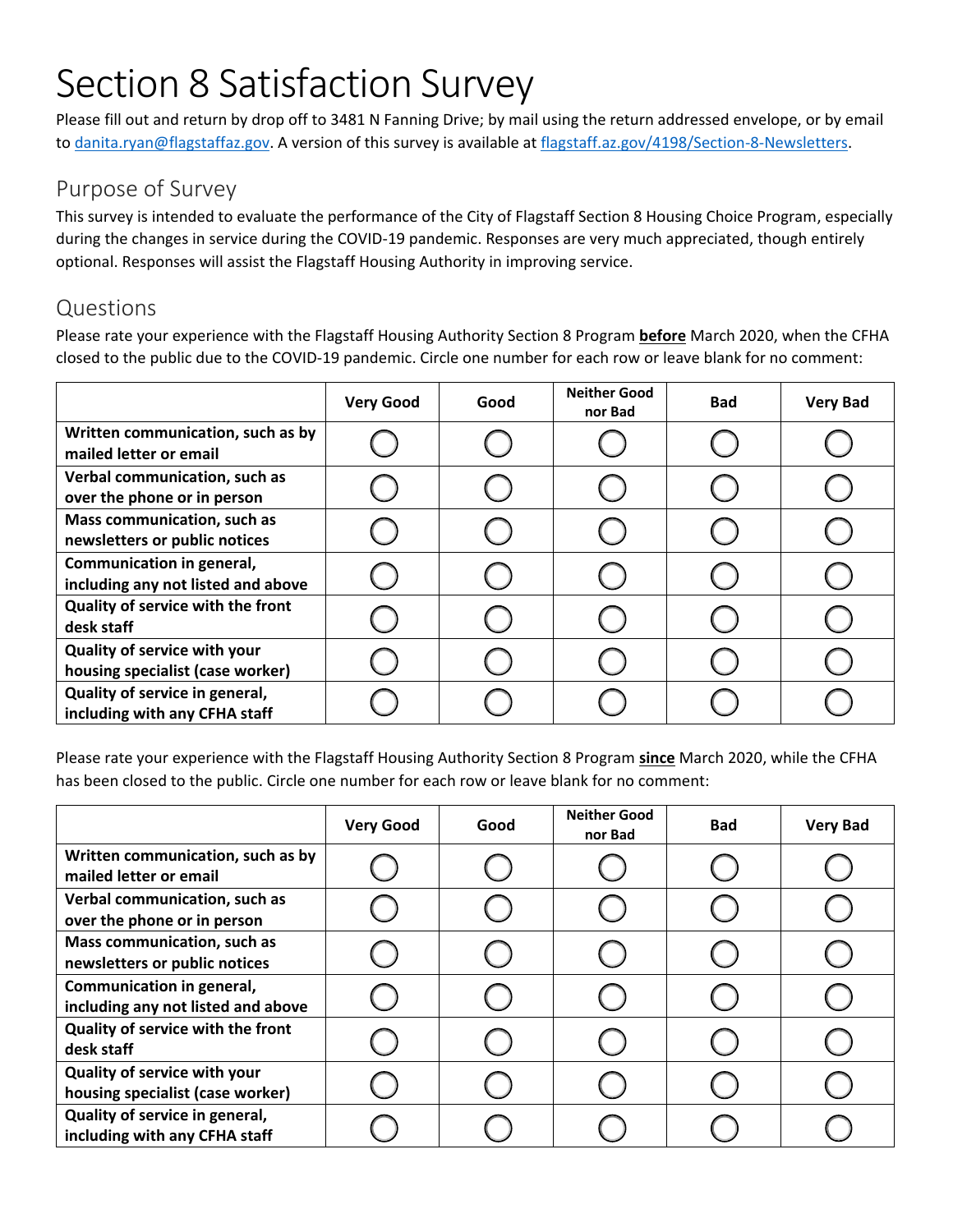## Section 8 Satisfaction Survey

Please fill out and return by drop off to 3481 N Fanning Drive; by mail using the return addressed envelope, or by email to [danita.ryan@flagstaffaz.gov.](mailto:danita.ryan@flagstaffaz.gov) A version of this survey is available at [flagstaff.az.gov/4198/Section-8-Newsletters.](https://www.flagstaff.az.gov/4198/Section-8-Newsletters)

## Purpose of Survey

This survey is intended to evaluate the performance of the City of Flagstaff Section 8 Housing Choice Program, especially during the changes in service during the COVID-19 pandemic. Responses are very much appreciated, though entirely optional. Responses will assist the Flagstaff Housing Authority in improving service.

## Questions

Please rate your experience with the Flagstaff Housing Authority Section 8 Program **before** March 2020, when the CFHA closed to the public due to the COVID-19 pandemic. Circle one number for each row or leave blank for no comment:

|                                                                     | <b>Very Good</b> | Good | <b>Neither Good</b><br>nor Bad | <b>Bad</b> | <b>Very Bad</b> |
|---------------------------------------------------------------------|------------------|------|--------------------------------|------------|-----------------|
| Written communication, such as by<br>mailed letter or email         |                  |      |                                |            |                 |
| Verbal communication, such as<br>over the phone or in person        |                  |      |                                |            |                 |
| <b>Mass communication, such as</b><br>newsletters or public notices |                  |      |                                |            |                 |
| Communication in general,<br>including any not listed and above     |                  |      |                                |            |                 |
| Quality of service with the front<br>desk staff                     |                  |      |                                |            |                 |
| Quality of service with your<br>housing specialist (case worker)    |                  |      |                                |            |                 |
| Quality of service in general,<br>including with any CFHA staff     |                  |      |                                |            |                 |

Please rate your experience with the Flagstaff Housing Authority Section 8 Program **since** March 2020, while the CFHA has been closed to the public. Circle one number for each row or leave blank for no comment:

|                                                                  | <b>Very Good</b> | Good | <b>Neither Good</b><br>nor Bad | <b>Bad</b> | <b>Very Bad</b> |
|------------------------------------------------------------------|------------------|------|--------------------------------|------------|-----------------|
| Written communication, such as by<br>mailed letter or email      |                  |      |                                |            |                 |
| Verbal communication, such as<br>over the phone or in person     |                  |      |                                |            |                 |
| Mass communication, such as<br>newsletters or public notices     |                  |      |                                |            |                 |
| Communication in general,<br>including any not listed and above  |                  |      |                                |            |                 |
| Quality of service with the front<br>desk staff                  |                  |      |                                |            |                 |
| Quality of service with your<br>housing specialist (case worker) |                  |      |                                |            |                 |
| Quality of service in general,<br>including with any CFHA staff  |                  |      |                                |            |                 |